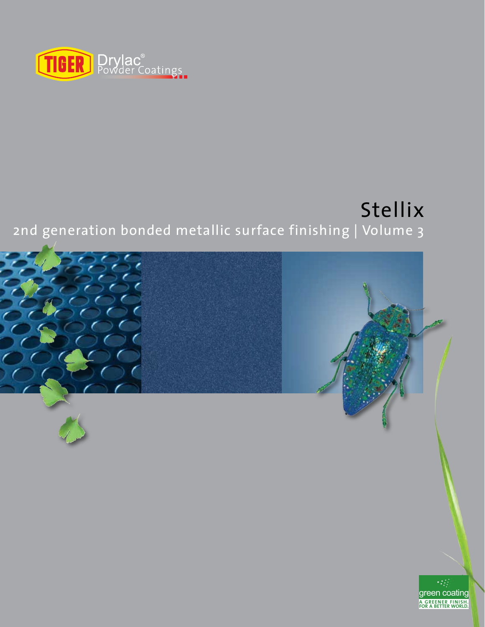

## Stellix 2nd generation bonded metallic surface finishing | Volume 3

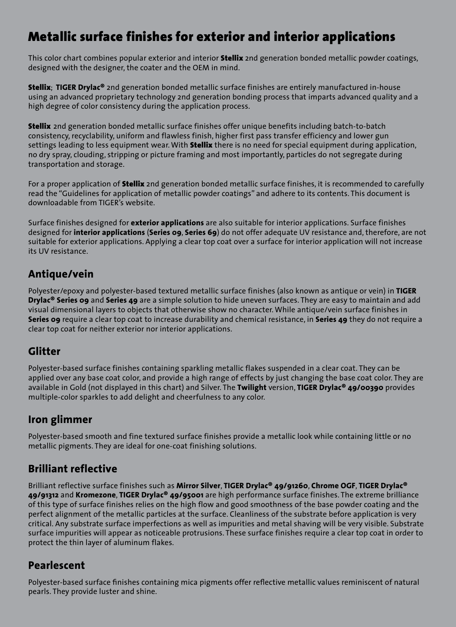### Metallic surface finishes for exterior and interior applications

This color chart combines popular exterior and interior **Stellix** 2nd generation bonded metallic powder coatings, designed with the designer, the coater and the OEM in mind.

Stellix; **TIGER Drylac®** 2nd generation bonded metallic surface finishes are entirely manufactured in-house using an advanced proprietary technology 2nd generation bonding process that imparts advanced quality and a high degree of color consistency during the application process.

**Stellix** 2nd generation bonded metallic surface finishes offer unique benefits including batch-to-batch consistency, recyclability, uniform and flawless finish, higher first pass transfer efficiency and lower gun settings leading to less equipment wear. With **Stellix** there is no need for special equipment during application, no dry spray, clouding, stripping or picture framing and most importantly, particles do not segregate during transportation and storage.

For a proper application of **Stellix** 2nd generation bonded metallic surface finishes, it is recommended to carefully read the "Guidelines for application of metallic powder coatings" and adhere to its contents. This document is downloadable from TIGER's website.

Surface finishes designed for **exterior applications** are also suitable for interior applications. Surface finishes designed for **interior applications** (**Series 09**, **Series 69**) do not offer adequate UV resistance and, therefore, are not suitable for exterior applications. Applying a clear top coat over a surface for interior application will not increase its UV resistance.

#### **Antique/vein**

Polyester/epoxy and polyester-based textured metallic surface finishes (also known as antique or vein) in **TIGER Drylac® Series 09** and **Series 49** are a simple solution to hide uneven surfaces. They are easy to maintain and add visual dimensional layers to objects that otherwise show no character. While antique/vein surface finishes in **Series 09** require a clear top coat to increase durability and chemical resistance, in **Series 49** they do not require a clear top coat for neither exterior nor interior applications.

#### **Glitter**

Polyester-based surface finishes containing sparkling metallic flakes suspended in a clear coat. They can be applied over any base coat color, and provide a high range of effects by just changing the base coat color. They are available in Gold (not displayed in this chart) and Silver. The **Twilight** version, **TIGER Drylac® 49/00390** provides multiple-color sparkles to add delight and cheerfulness to any color.

#### **Iron glimmer**

Polyester-based smooth and fine textured surface finishes provide a metallic look while containing little or no metallic pigments. They are ideal for one-coat finishing solutions.

#### **Brilliant reflective**

Brilliant reflective surface finishes such as **Mirror Silver**, **TIGER Drylac® 49/91260**, **Chrome OGF**, **TIGER Drylac® 49/91312** and **Kromezone**, **TIGER Drylac® 49/95001** are high performance surface finishes. The extreme brilliance of this type of surface finishes relies on the high flow and good smoothness of the base powder coating and the perfect alignment of the metallic particles at the surface. Cleanliness of the substrate before application is very critical. Any substrate surface imperfections as well as impurities and metal shaving will be very visible. Substrate surface impurities will appear as noticeable protrusions. These surface finishes require a clear top coat in order to protect the thin layer of aluminum flakes.

#### **Pearlescent**

Polyester-based surface finishes containing mica pigments offer reflective metallic values reminiscent of natural pearls. They provide luster and shine.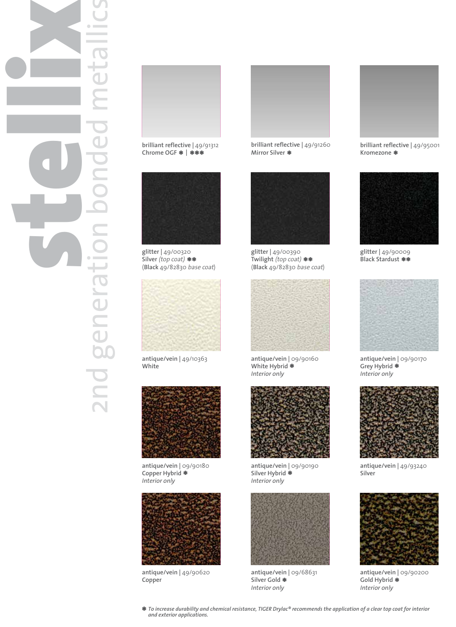# stellix 2nd generation bonded metallics **P**  $\overline{\phantom{0}}$ OO nd generation



**brilliant reflective |** 49/91312 **Chrome OGF** \* \*\*\* **<sup>|</sup>**



**glitter |** 49/00320 **Silver** (top coat) Silver *(top coat) \*\**<br>(Black 49/82830 *base coat*)



**antique/vein |** 49/10363 **White**



**antique/vein |** 09/90180 **Copper Hybrid** \* *Interior only*



**antique/vein |** 49/90620 **Copper**



**Mirror Silver** \*



**glitter |** 49/00390 **Twilight** (top coat) Twilight *(top coat) \*\**<br>(Black 49/82830 *base coat*)



**antique/vein |** 09/90160 **White Hybrid \***<br>Interior onlv *Interior only*



**antique/vein |** 09/90190 **Silver Hybrid** \* *Interior only*



**antique/vein |** 09/68631 **Silver Gold** Silver Gold **\***<br>Interior only



**brilliant reflective |** 49/95001 **Kromezone** \*



**glitter |** 49/90009 **Black Stardust** \*\*



**antique/vein |** 09/90170 **Grey Hybrid \***<br>Interior onlv *Interior only*



**antique/vein |** 49/93240 **Silver**



**antique/vein |** 09/90200 **Gold Hybrid \***<br>Interior onlv *Interior only*

\* *To increase durability and chemical resistance, TIGER Drylac® recommends the application of a clear top coat for interior and exterior applications.*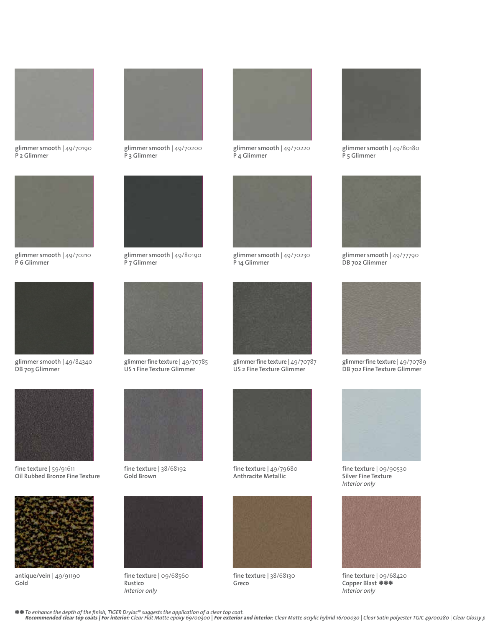

**glimmer smooth |** 49/70190 **P 2 Glimmer**



**glimmer smooth |** 49/70210 **P 6 Glimmer**



**DB 703 Glimmer**



**fine texture |** 59/91611 **Oil Rubbed Bronze Fine Texture**



**antique/vein |** 49/91190 **Gold**



**glimmer smooth |** 49/70200 **P 3 Glimmer**



**glimmer smooth |** 49/80190 **P 7 Glimmer**



**glimmer fine texture |** 49/70785 **US 1 Fine Texture Glimmer** 

**fine texture |** 38/68192

**fine texture |** 09/68560

**Gold Brown**



**glimmer smooth |** 49/70220 **P 4 Glimmer**



**glimmer smooth |** 49/70230 **P 14 Glimmer**



**glimmer fine texture |** 49/70787 **US 2 Fine Texture Glimmer**



**fine texture |** 49/79680 **Anthracite Metallic**



**fine texture |** 38/68130 **Greco**



**glimmer smooth |** 49/80180 **P 5 Glimmer**



**glimmer smooth |** 49/77790 **DB 702 Glimmer**



**glimmer fine texture |** 49/70789 **DB 702 Fine Texture Glimmer**



**fine texture |** 09/90530 **Silver Fine Texture** *Interior only*



**fine texture |** 09/68420 Copper Blast **米米米**<br>Interior only *Interior only*

**Rustico** *Interior only*

*To enhance the depth of the finish, TIGER Drylac® suggests the application of a clear top coat.* \*\*Recommended clear top coats | For interior: Clear Flat Matte epoxy 69/00300 | For exterior and interior: Clear Matte acrylic hybrid 16/00030 | Clear Satin polyester TGIC 49/00280 | Clear Glossy p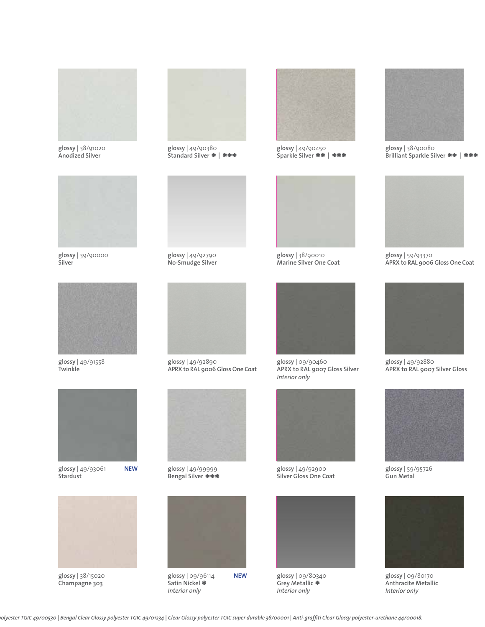

**glossy |** 38/91020 **Anodized Silver**



**glossy |** 39/90000 **Silver**



**glossy |** 49/91558 **Twinkle**



**glossy |** 49/93061 **Stardust**



**glossy |** 38/15020 **Champagne 303**



**glossy |** 49/90380 **Standard Silver \* | \*\*\*** 



**glossy |** 49/92790 **No-Smudge Silver**



**glossy |** 49/92890 **APRX to RAL 9006 Gloss One Coat**



**glossy |** 49/99999 **Bengal Silver** \*\*\*



**glossy |** 09/96114 **Satin Nickel** \* *Interior only*



**glossy |** 49/90450 **Sparkle Silver** \*\* \*\*\* **<sup>|</sup>**



**glossy |** 38/90010 **Marine Silver One Coat**



**glossy |** 09/90460 **APRX to RAL 9007 Gloss Silver** *Interior only*



**glossy |** 49/92900 **Silver Gloss One Coat**



**glossy |** 09/80340 **Grey Metallic** \* *Interior only*



**glossy |** 38/90080 **Brilliant Sparkle Silver \*\* | \*\*\*** 



**glossy |** 59/93370 **APRX to RAL 9006 Gloss One Coat**



**glossy |** 49/92880 **APRX to RAL 9007 Silver Gloss**



**glossy |** 59/95726 **Gun Metal**



**glossy |** 09/80170 **Anthracite Metallic** *Interior only*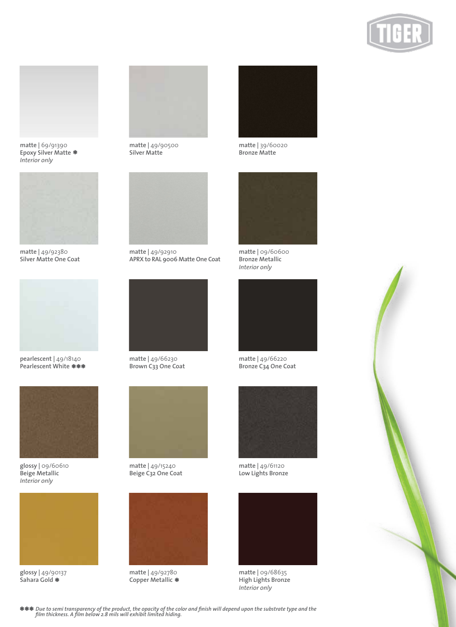





**matte |** 49/92380 **Silver Matte One Coat**



**pearlescent |** 49/18140 **Pearlescent White** \*\*\*



**glossy |** 09/60610 **Beige Metallic** *Interior only*



**glossy |** 49/90137 **Sahara Gold** \*



**matte |** 49/90500 **Silver Matte**



**matte |** 49/92910 **APRX to RAL 9006 Matte One Coat**



**matte |** 49/66230 **Brown C33 One Coat**



**matte |** 49/15240 **Beige C32 One Coat**



**matte |** 49/92780 **Copper Metallic** \*



**matte |** 39/60020 **Bronze Matte**



**matte |** 09/60600 **Bronze Metallic** *Interior only*



**matte |** 49/66220 **Bronze C34 One Coat**



**matte |** 49/61120 **Low Lights Bronze**



**matte |** 09/68635 **High Lights Bronze** *Interior only*



\*\*\* *Due to semi transparency of the product, the opacity of the color and finish will depend upon the substrate type and the film thickness. A film below 2.8 mils will exhibit limited hiding.*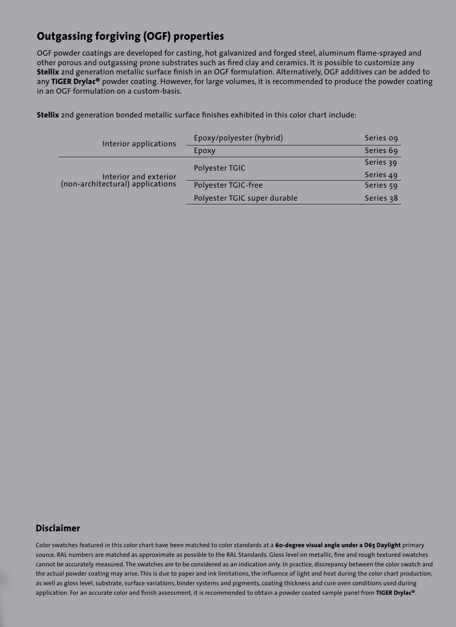#### **Outgassing forgiving (OGF) properties**

OGF powder coatings are developed for casting, hot galvanized and forged steel, aluminum flame-sprayed and other porous and outgassing prone substrates such as fired clay and ceramics. It is possible to customize any **Stellix** 2nd generation metallic surface finish in an OGF formulation. Alternatively, OGF additives can be added to any **TIGER Drylac®** powder coating. However, for large volumes, it is recommended to produce the powder coating in an OGF formulation on a custom-basis.

**Stellix** 2nd generation bonded metallic surface finishes exhibited in this color chart include:

| Interior applications                                     | Epoxy/polyester (hybrid)     | Series og |
|-----------------------------------------------------------|------------------------------|-----------|
|                                                           | Epoxy                        | Series 69 |
| Interior and exterior<br>(non-architectural) applications | Polyester TGIC               | Series 39 |
|                                                           |                              | Series 49 |
|                                                           | Polyester TGIC-free          | Series 59 |
|                                                           | Polyester TGIC super durable | Series 38 |

#### **Disclaimer**

Color swatches featured in this color chart have been matched to color standards at a **60-degree visual angle under a D65 Daylight** primary source. RAL numbers are matched as approximate as possible to the RAL Standards. Gloss level on metallic, fine and rough textured swatches cannot be accurately measured. The swatches are to be considered as an indication only. In practice, discrepancy between the color swatch and the actual powder coating may arise. This is due to paper and ink limitations, the influence of light and heat during the color chart production, as well as gloss level, substrate, surface variations, binder systems and pigments, coating thickness and cure oven conditions used during application. For an accurate color and finish assessment, it is recommended to obtain a powder coated sample panel from **TIGER Drylac®**.